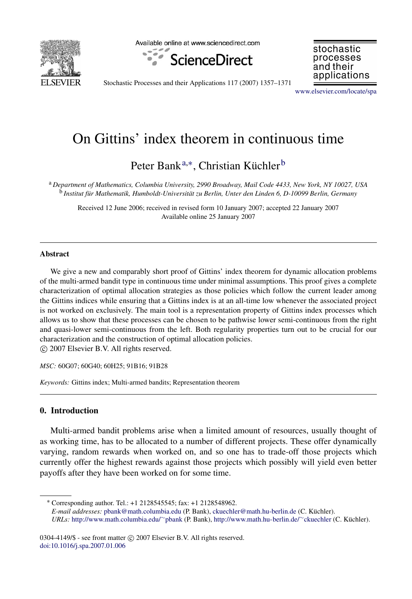

Available online at www.sciencedirect.com



stochastic processes and their applications

Stochastic Processes and their Applications 117 (2007) 1357–1371

[www.elsevier.com/locate/spa](http://www.elsevier.com/locate/spa)

# On Gittins' index theorem in continuous time

Peter Bank<sup>[a,](#page-0-0)[∗](#page-0-1)</sup>, Christian Küchler<sup>[b](#page-0-2)</sup>

<span id="page-0-2"></span><span id="page-0-0"></span><sup>a</sup> *Department of Mathematics, Columbia University, 2990 Broadway, Mail Code 4433, New York, NY 10027, USA* <sup>b</sup> Institut für Mathematik, Humboldt-Universität zu Berlin, Unter den Linden 6, D-10099 Berlin, Germany

Received 12 June 2006; received in revised form 10 January 2007; accepted 22 January 2007 Available online 25 January 2007

#### Abstract

We give a new and comparably short proof of Gittins' index theorem for dynamic allocation problems of the multi-armed bandit type in continuous time under minimal assumptions. This proof gives a complete characterization of optimal allocation strategies as those policies which follow the current leader among the Gittins indices while ensuring that a Gittins index is at an all-time low whenever the associated project is not worked on exclusively. The main tool is a representation property of Gittins index processes which allows us to show that these processes can be chosen to be pathwise lower semi-continuous from the right and quasi-lower semi-continuous from the left. Both regularity properties turn out to be crucial for our characterization and the construction of optimal allocation policies.

c 2007 Elsevier B.V. All rights reserved.

*MSC:* 60G07; 60G40; 60H25; 91B16; 91B28

*Keywords:* Gittins index; Multi-armed bandits; Representation theorem

# 0. Introduction

Multi-armed bandit problems arise when a limited amount of resources, usually thought of as working time, has to be allocated to a number of different projects. These offer dynamically varying, random rewards when worked on, and so one has to trade-off those projects which currently offer the highest rewards against those projects which possibly will yield even better payoffs after they have been worked on for some time.

<span id="page-0-1"></span><sup>∗</sup> Corresponding author. Tel.: +1 2128545545; fax: +1 2128548962. *E-mail addresses:* [pbank@math.columbia.edu](mailto:pbank@math.columbia.edu) (P. Bank), [ckuechler@math.hu-berlin.de](mailto:ckuechler@math.hu-berlin.de) (C. Kuchler). ¨ *URLs:* [http://www.math.columbia.edu/](http://www.math.columbia.edu/~pbank)∼[pbank](http://www.math.columbia.edu/~pbank) (P. Bank), [http://www.math.hu-berlin.de/](http://www.math.hu-berlin.de/~ckuechler)∼[ckuechler](http://www.math.hu-berlin.de/~ckuechler) (C. Kuchler). ¨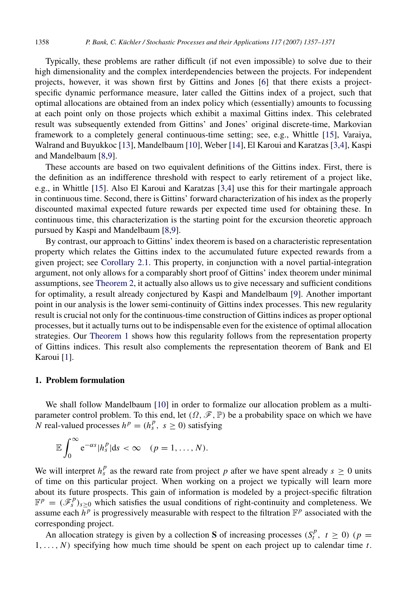Typically, these problems are rather difficult (if not even impossible) to solve due to their high dimensionality and the complex interdependencies between the projects. For independent projects, however, it was shown first by Gittins and Jones [\[6\]](#page-14-0) that there exists a projectspecific dynamic performance measure, later called the Gittins index of a project, such that optimal allocations are obtained from an index policy which (essentially) amounts to focussing at each point only on those projects which exhibit a maximal Gittins index. This celebrated result was subsequently extended from Gittins' and Jones' original discrete-time, Markovian framework to a completely general continuous-time setting; see, e.g., Whittle [\[15\]](#page-14-1), Varaiya, Walrand and Buyukkoc [\[13\]](#page-14-2), Mandelbaum [\[10\]](#page-14-3), Weber [\[14\]](#page-14-4), El Karoui and Karatzas [\[3,](#page-14-5)[4\]](#page-14-6), Kaspi and Mandelbaum [\[8,](#page-14-7)[9\]](#page-14-8).

These accounts are based on two equivalent definitions of the Gittins index. First, there is the definition as an indifference threshold with respect to early retirement of a project like, e.g., in Whittle [\[15\]](#page-14-1). Also El Karoui and Karatzas [\[3](#page-14-5)[,4\]](#page-14-6) use this for their martingale approach in continuous time. Second, there is Gittins' forward characterization of his index as the properly discounted maximal expected future rewards per expected time used for obtaining these. In continuous time, this characterization is the starting point for the excursion theoretic approach pursued by Kaspi and Mandelbaum [\[8,](#page-14-7)[9\]](#page-14-8).

By contrast, our approach to Gittins' index theorem is based on a characteristic representation property which relates the Gittins index to the accumulated future expected rewards from a given project; see [Corollary 2.1.](#page-6-0) This property, in conjunction with a novel partial-integration argument, not only allows for a comparably short proof of Gittins' index theorem under minimal assumptions, see [Theorem 2,](#page-7-0) it actually also allows us to give necessary and sufficient conditions for optimality, a result already conjectured by Kaspi and Mandelbaum [\[9\]](#page-14-8). Another important point in our analysis is the lower semi-continuity of Gittins index processes. This new regularity result is crucial not only for the continuous-time construction of Gittins indices as proper optional processes, but it actually turns out to be indispensable even for the existence of optimal allocation strategies. Our [Theorem 1](#page-3-0) shows how this regularity follows from the representation property of Gittins indices. This result also complements the representation theorem of Bank and El Karoui [\[1\]](#page-14-9).

### 1. Problem formulation

We shall follow Mandelbaum [\[10\]](#page-14-3) in order to formalize our allocation problem as a multiparameter control problem. To this end, let  $(\Omega, \mathscr{F}, \mathbb{P})$  be a probability space on which we have *N* real-valued processes  $h^p = (h_s^p, s \ge 0)$  satisfying

$$
\mathbb{E}\int_0^\infty e^{-\alpha s}|h_s^p|\mathrm{d} s<\infty \quad (p=1,\ldots,N).
$$

We will interpret  $h_s^p$  as the reward rate from project p after we have spent already  $s \geq 0$  units of time on this particular project. When working on a project we typically will learn more about its future prospects. This gain of information is modeled by a project-specific filtration  $\mathbb{F}^p = (\mathscr{F}^p_s)_{s \geq 0}$  which satisfies the usual conditions of right-continuity and completeness. We assume each  $\bar{h}^p$  is progressively measurable with respect to the filtration  $\mathbb{F}^p$  associated with the corresponding project.

An allocation strategy is given by a collection S of increasing processes  $(S_t^p, t \ge 0)$  ( $p =$ 1, . . . , *N*) specifying how much time should be spent on each project up to calendar time *t*.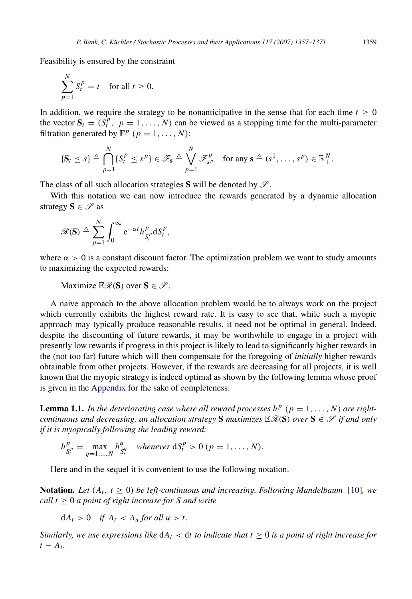Feasibility is ensured by the constraint

$$
\sum_{p=1}^{N} S_t^p = t \quad \text{for all } t \ge 0.
$$

In addition, we require the strategy to be nonanticipative in the sense that for each time  $t \geq 0$ the vector  $S_t = (S_t^p, p = 1, ..., N)$  can be viewed as a stopping time for the multi-parameter filtration generated by  $\mathbb{F}^p$  ( $p = 1, ..., N$ ):

$$
\{\mathbf S_t\leq s\}\triangleq\bigcap_{p=1}^N\{S_t^p\leq s^p\}\in\mathscr{F}_{\mathbf s}\triangleq\bigvee_{p=1}^N\mathscr{F}_{s^p}^p\quad\text{for any $\mathbf s\triangleq(s^1,\ldots,s^p)\in\mathbb{R}_+^N$.}
$$

The class of all such allocation strategies S will be denoted by  $\mathscr{S}$ .

With this notation we can now introduce the rewards generated by a dynamic allocation strategy  $S \in \mathscr{S}$  as

$$
\mathscr{R}(\mathbf{S}) \triangleq \sum_{p=1}^N \int_0^\infty e^{-\alpha t} h_{S_t^p}^p \mathrm{d} S_t^p,
$$

where  $\alpha > 0$  is a constant discount factor. The optimization problem we want to study amounts to maximizing the expected rewards:

Maximize  $\mathbb{E}\mathscr{R}(\mathbf{S})$  over  $\mathbf{S} \in \mathscr{S}$ .

A naive approach to the above allocation problem would be to always work on the project which currently exhibits the highest reward rate. It is easy to see that, while such a myopic approach may typically produce reasonable results, it need not be optimal in general. Indeed, despite the discounting of future rewards, it may be worthwhile to engage in a project with presently low rewards if progress in this project is likely to lead to significantly higher rewards in the (not too far) future which will then compensate for the foregoing of *initially* higher rewards obtainable from other projects. However, if the rewards are decreasing for all projects, it is well known that the myopic strategy is indeed optimal as shown by the following lemma whose proof is given in the [Appendix](#page-12-0) for the sake of completeness:

<span id="page-2-0"></span>**Lemma 1.1.** In the deteriorating case where all reward processes  $h^p$  ( $p = 1, ..., N$ ) are right*continuous and decreasing, an allocation strategy* S *maximizes*  $\mathbb{E}\mathscr{R}(S)$  *over*  $S \in \mathscr{S}$  *if and only if it is myopically following the leading reward:*

$$
h_{S_t^p}^p = \max_{q=1,...,N} h_{S_t^q}^q \quad \text{whenever} \ \mathrm{d}S_t^p > 0 \ (p=1,...,N).
$$

Here and in the sequel it is convenient to use the following notation.

**Notation.** Let  $(A_t, t \geq 0)$  be left-continuous and increasing. Following Mandelbaum [\[10\]](#page-14-3)*,* we *call t* ≥ 0 *a point of right increase for S and write*

 $dA_t > 0$  *if*  $A_t < A_u$  *for all u > t*.

*Similarly, we use expressions like*  $dA_t < dt$  to indicate that  $t \geq 0$  is a point of right increase for  $t - A_t$ .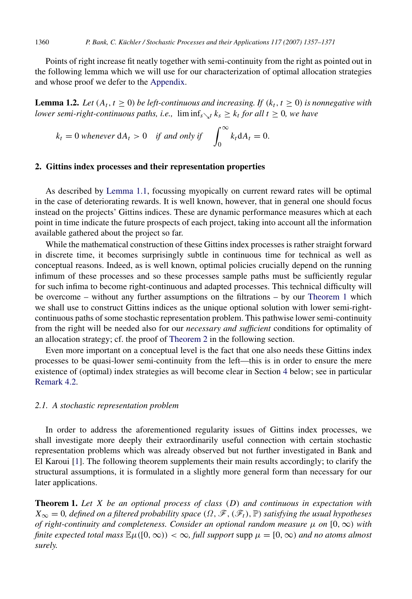Points of right increase fit neatly together with semi-continuity from the right as pointed out in the following lemma which we will use for our characterization of optimal allocation strategies and whose proof we defer to the [Appendix.](#page-12-0)

**Lemma 1.2.** Let  $(A_t, t \geq 0)$  be left-continuous and increasing. If  $(k_t, t \geq 0)$  is nonnegative with *lower semi-right-continuous paths, i.e.,*  $\liminf_{s\searrow t} k_s \geq k_t$  *for all t*  $\geq 0$ *, we have* 

<span id="page-3-1"></span>
$$
k_t = 0
$$
 whenever  $dA_t > 0$  if and only if  $\int_0^\infty k_t dA_t = 0$ .

#### 2. Gittins index processes and their representation properties

As described by [Lemma 1.1,](#page-2-0) focussing myopically on current reward rates will be optimal in the case of deteriorating rewards. It is well known, however, that in general one should focus instead on the projects' Gittins indices. These are dynamic performance measures which at each point in time indicate the future prospects of each project, taking into account all the information available gathered about the project so far.

While the mathematical construction of these Gittins index processes is rather straight forward in discrete time, it becomes surprisingly subtle in continuous time for technical as well as conceptual reasons. Indeed, as is well known, optimal policies crucially depend on the running infimum of these processes and so these processes sample paths must be sufficiently regular for such infima to become right-continuous and adapted processes. This technical difficulty will be overcome – without any further assumptions on the filtrations – by our [Theorem 1](#page-3-0) which we shall use to construct Gittins indices as the unique optional solution with lower semi-rightcontinuous paths of some stochastic representation problem. This pathwise lower semi-continuity from the right will be needed also for our *necessary and sufficient* conditions for optimality of an allocation strategy; cf. the proof of [Theorem 2](#page-7-0) in the following section.

Even more important on a conceptual level is the fact that one also needs these Gittins index processes to be quasi-lower semi-continuity from the left—this is in order to ensure the mere existence of (optimal) index strategies as will become clear in Section [4](#page-10-0) below; see in particular [Remark 4.2.](#page-12-1)

## *2.1. A stochastic representation problem*

In order to address the aforementioned regularity issues of Gittins index processes, we shall investigate more deeply their extraordinarily useful connection with certain stochastic representation problems which was already observed but not further investigated in Bank and El Karoui [\[1\]](#page-14-9). The following theorem supplements their main results accordingly; to clarify the structural assumptions, it is formulated in a slightly more general form than necessary for our later applications.

<span id="page-3-0"></span>Theorem 1. *Let X be an optional process of class* (*D*) *and continuous in expectation with*  $X_{\infty} = 0$ , defined on a filtered probability space  $(\Omega, \mathscr{F}, (\mathscr{F}_t), \mathbb{P})$  *satisfying the usual hypotheses of right-continuity and completeness. Consider an optional random measure*  $\mu$  *on*  $[0, \infty)$  *with finite expected total mass*  $\mathbb{E}\mu([0,\infty)) < \infty$ , *full support* supp  $\mu = [0,\infty)$  *and no atoms almost surely.*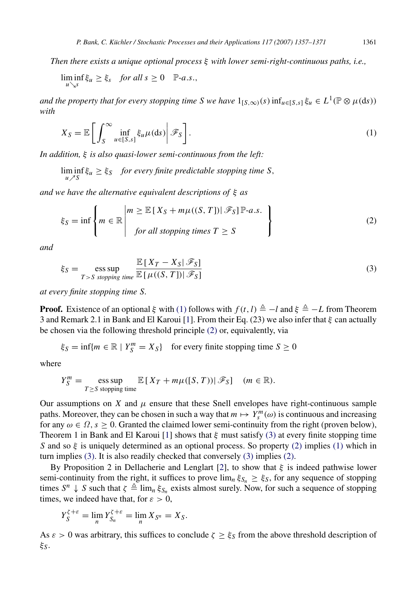*Then there exists a unique optional process* ξ *with lower semi-right-continuous paths, i.e.,*

$$
\liminf_{u\searrow s}\xi_u\geq \xi_s \quad \text{for all } s\geq 0 \quad \mathbb{P}\text{-}a.s.,
$$

*and the property that for every stopping time S we have*  $1_{[S,\infty)}(s)$  inf<sub>u∈[*S*,*s*]  $\xi_u \in L^1(\mathbb{P} \otimes \mu(\mathrm{d}s))$ </sub> *with*

<span id="page-4-0"></span>
$$
X_S = \mathbb{E}\left[\left.\int_S^\infty \inf_{u \in [S,s]} \xi_u \mu(ds)\right| \mathscr{F}_S\right].\tag{1}
$$

*In addition,* ξ *is also quasi-lower semi-continuous from the left:*

$$
\liminf_{u \nearrow S} \xi_u \ge \xi_S \quad \text{for every finite predictable stopping time } S,
$$

*and we have the alternative equivalent descriptions of* ξ *as*

<span id="page-4-1"></span>
$$
\xi_S = \inf \left\{ m \in \mathbb{R} \, \middle| \, \begin{aligned} m &\geq \mathbb{E} \left[ X_S + m\mu((S, T]) \right] \mathcal{F}_S \right] \mathbb{P} \text{-}a.s. \\ \text{for all stopping times } T &\geq S \end{aligned} \right\} \tag{2}
$$

*and*

<span id="page-4-2"></span>
$$
\xi_S = \mathop{\text{ess sup}}_{T>S \text{ stopping time}} \frac{\mathbb{E}\left[X_T - X_S | \mathcal{F}_S\right]}{\mathbb{E}\left[\mu((S,T]) | \mathcal{F}_S\right]} \tag{3}
$$

*at every finite stopping time S.*

**Proof.** Existence of an optional  $\xi$  with [\(1\)](#page-4-0) follows with  $f(t, l) \triangleq -l$  and  $\xi \triangleq -L$  from Theorem 3 and Remark 2.1 in Bank and El Karoui [\[1\]](#page-14-9). From their Eq. (23) we also infer that ξ can actually be chosen via the following threshold principle [\(2\)](#page-4-1) or, equivalently, via

$$
\xi_S = \inf\{m \in \mathbb{R} \mid Y_S^m = X_S\}
$$
 for every finite stopping time  $S \ge 0$ 

where

$$
Y_S^m = \mathop{\mathrm{ess~sup}}_{T \ge S \text{ stopping time}} \mathbb{E}\left[X_T + m\mu([S,T))|\mathscr{F}_S\right] \quad (m \in \mathbb{R}).
$$

Our assumptions on  $X$  and  $\mu$  ensure that these Snell envelopes have right-continuous sample paths. Moreover, they can be chosen in such a way that  $m \mapsto Y_s^m(\omega)$  is continuous and increasing for any  $\omega \in \Omega$ ,  $s \geq 0$ . Granted the claimed lower semi-continuity from the right (proven below), Theorem 1 in Bank and El Karoui [\[1\]](#page-14-9) shows that  $\xi$  must satisfy [\(3\)](#page-4-2) at every finite stopping time *S* and so  $\xi$  is uniquely determined as an optional process. So property [\(2\)](#page-4-1) implies [\(1\)](#page-4-0) which in turn implies [\(3\).](#page-4-2) It is also readily checked that conversely [\(3\)](#page-4-2) implies [\(2\).](#page-4-1)

By Proposition 2 in Dellacherie and Lenglart [\[2\]](#page-14-10), to show that  $\xi$  is indeed pathwise lower semi-continuity from the right, it suffices to prove  $\lim_{n \xi S_n} \ge \xi_S$ , for any sequence of stopping times  $S^n \downarrow S$  such that  $\zeta \triangleq \lim_{n} \xi_{S_n}$  exists almost surely. Now, for such a sequence of stopping times, we indeed have that, for  $\varepsilon > 0$ ,

$$
Y_S^{\xi+\varepsilon}=\lim_n Y_{S_n}^{\xi+\varepsilon}=\lim_n X_{S^n}=X_S.
$$

As  $\varepsilon > 0$  was arbitrary, this suffices to conclude  $\zeta \geq \xi_S$  from the above threshold description of ξ*S*.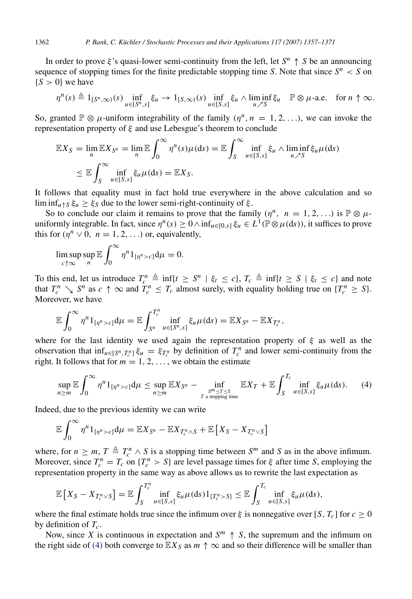In order to prove  $\xi$ 's quasi-lower semi-continuity from the left, let  $S^n \uparrow S$  be an announcing sequence of stopping times for the finite predictable stopping time *S*. Note that since  $S<sup>n</sup> < S$  on  ${S > 0}$  we have

$$
\eta^{n}(s) \triangleq 1_{[S^{n},\infty)}(s) \inf_{u \in [S^{n},s]} \xi_{u} \to 1_{[S,\infty)}(s) \inf_{u \in [S,s]} \xi_{u} \wedge \liminf_{u \nearrow S} \xi_{u} \quad \mathbb{P} \otimes \mu\text{-a.e. for } n \uparrow \infty.
$$

So, granted  $\mathbb{P} \otimes \mu$ -uniform integrability of the family  $(\eta^n, n = 1, 2, \ldots)$ , we can invoke the representation property of  $\xi$  and use Lebesgue's theorem to conclude

$$
\mathbb{E}X_S = \lim_n \mathbb{E}X_{S^n} = \lim_n \mathbb{E} \int_0^\infty \eta^n(s)\mu(ds) = \mathbb{E} \int_S^\infty \inf_{u \in [S,s]} \xi_u \wedge \liminf_{u \nearrow S} \xi_u \mu(ds)
$$
  

$$
\leq \mathbb{E} \int_S^\infty \inf_{u \in [S,s]} \xi_u \mu(ds) = \mathbb{E}X_S.
$$

It follows that equality must in fact hold true everywhere in the above calculation and so lim inf<sub>u</sub> $\wedge$ *s*  $\xi_u \geq \xi_s$  due to the lower semi-right-continuity of  $\xi$ .

So to conclude our claim it remains to prove that the family  $(\eta^n, n = 1, 2, ...)$  is  $\mathbb{P} \otimes \mu$ uniformly integrable. In fact, since  $\eta^n(s) \ge 0 \wedge \inf_{u \in [0,s]} \xi_u \in L^1(\mathbb{P} \otimes \mu(\mathrm{d}s))$ , it suffices to prove this for  $(\eta^n \vee 0, n = 1, 2, ...)$  or, equivalently,

$$
\limsup_{c \uparrow \infty} \sup_n \mathbb{E} \int_0^\infty \eta^n 1_{\{\eta^n > c\}} \mathrm{d} \mu = 0.
$$

To this end, let us introduce  $T_c^n \triangleq \inf\{t \geq S^n \mid \xi_t \leq c\}$ ,  $T_c \triangleq \inf\{t \geq S \mid \xi_t \leq c\}$  and note that  $T_c^n \searrow S^n$  as  $c \uparrow \infty$  and  $T_c^n \leq T_c$  almost surely, with equality holding true on  $\{T_c^n \geq S\}$ . Moreover, we have

$$
\mathbb{E}\int_0^\infty \eta^n 1_{\{\eta^n>c\}}d\mu = \mathbb{E}\int_{S^n}^{T_c^n} \inf_{u\in [S^n,s]}\xi_u\mu(\mathrm{d}s) = \mathbb{E}X_{S^n} - \mathbb{E}X_{T_c^n},
$$

where for the last identity we used again the representation property of  $\xi$  as well as the observation that  $\inf_{u \in [S^n, T_c^n]} \xi_u = \xi_{T_c^n}$  by definition of  $T_c^n$  and lower semi-continuity from the right. It follows that for  $m = 1, 2, \ldots$ , we obtain the estimate

<span id="page-5-0"></span>
$$
\sup_{n\geq m}\mathbb{E}\int_0^\infty \eta^n 1_{\{\eta^n>c\}}\mathrm{d}\mu\leq \sup_{n\geq m}\mathbb{E}X_{S^n}-\inf_{\substack{S^m\leq T\leq S\\T\text{ a stopping time}}}\mathbb{E}X_T+\mathbb{E}\int_S^{T_c}\inf_{u\in[S,s]}\xi_u\mu(\mathrm{d} s). \tag{4}
$$

Indeed, due to the previous identity we can write

$$
\mathbb{E}\int_0^\infty \eta^n 1_{\{\eta^n>c\}}\mathrm{d}\mu = \mathbb{E}X_{S^n} - \mathbb{E}X_{T_c^n\wedge S} + \mathbb{E}\left[X_S-X_{T_c^n\vee S}\right]
$$

where, for  $n \ge m$ ,  $T \triangleq T_c^n \wedge S$  is a stopping time between  $S^m$  and S as in the above infimum. Moreover, since  $T_c^n = T_c$  on  $\{T_c^n > S\}$  are level passage times for  $\xi$  after time *S*, employing the representation property in the same way as above allows us to rewrite the last expectation as

$$
\mathbb{E}\left[X_S-X_{T_c^n\vee S}\right]=\mathbb{E}\int_{S}^{T_c^n}\inf_{u\in[S,s]}\xi_u\mu(\mathrm{d} s)\mathbb{1}_{\{T_c^n>S\}}\leq \mathbb{E}\int_{S}^{T_c}\inf_{u\in[S,s]}\xi_u\mu(\mathrm{d} s),
$$

where the final estimate holds true since the infimum over  $\xi$  is nonnegative over [*S*,  $T_c$ ] for  $c \ge 0$ by definition of *Tc*.

Now, since *X* is continuous in expectation and  $S^m \uparrow S$ , the supremum and the infimum on the right side of [\(4\)](#page-5-0) both converge to  $\mathbb{E} X_S$  as  $m \uparrow \infty$  and so their difference will be smaller than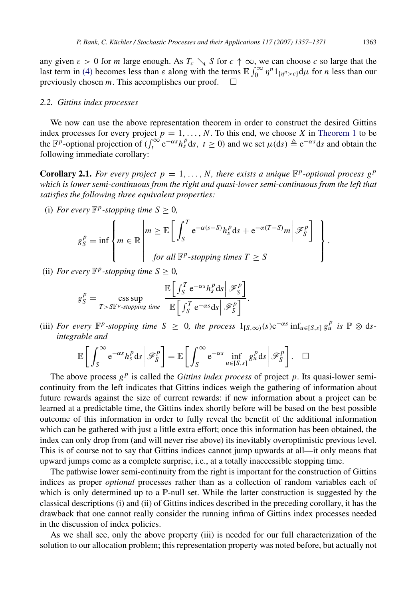any given  $\varepsilon > 0$  for *m* large enough. As  $T_c \searrow S$  for  $c \uparrow \infty$ , we can choose *c* so large that the last term in [\(4\)](#page-5-0) becomes less than  $\varepsilon$  along with the terms  $\mathbb{E} \int_0^\infty \eta^n 1_{\{\eta^n > c\}} d\mu$  for *n* less than our previously chosen *m*. This accomplishes our proof.

#### *2.2. Gittins index processes*

We now can use the above representation theorem in order to construct the desired Gittins index processes for every project  $p = 1, \ldots, N$ . To this end, we choose *X* in [Theorem 1](#page-3-0) to be the  $\mathbb{F}^p$ -optional projection of  $\left(\int_t^{\infty} e^{-\alpha s} h_s^p ds, t \ge 0\right)$  and we set  $\mu(ds) \triangleq e^{-\alpha s} ds$  and obtain the following immediate corollary:

<span id="page-6-0"></span>**Corollary 2.1.** For every project  $p = 1, ..., N$ , there exists a unique  $\mathbb{F}^p$ -optional process  $g^p$ *which is lower semi-continuous from the right and quasi-lower semi-continuous from the left that satisfies the following three equivalent properties:*

(i) *For every*  $\mathbb{F}^p$ -stopping time  $S \geq 0$ ,

$$
g_S^p = \inf \left\{ m \in \mathbb{R} \left| \begin{matrix} m \geq \mathbb{E} \left[ \int_S^T e^{-\alpha(s-S)} h_s^p ds + e^{-\alpha(T-S)} m \right| \mathcal{F}_S^p \right] \\ \text{for all } \mathbb{F}^p\text{-stopping times } T \geq S \end{matrix} \right\}
$$

(ii) *For every*  $\mathbb{F}^p$ -stopping time  $S \geq 0$ ,

$$
g_S^P = \mathop{\mathrm{ess\, sup}}_{T>S\mathbb{F}^p\text{-stopping time}} \frac{\mathbb{E}\left[\int_S^T e^{-\alpha s} h_s^P ds \middle| \mathcal{F}_S^P\right]}{\mathbb{E}\left[\int_S^T e^{-\alpha s} ds \middle| \mathcal{F}_S^P\right]}.
$$

(iii) *For every*  $\mathbb{F}^p$ -stopping time  $S \geq 0$ , the process  $1_{[S,\infty)}(s)e^{-\alpha s}\inf_{u \in [S,s]} g_u^p$  is  $\mathbb{P} \otimes ds$ *integrable and*

$$
\mathbb{E}\bigg[\int_{S}^{\infty} e^{-\alpha s} h_s^p ds \bigg|\mathscr{F}_S^p\bigg] = \mathbb{E}\bigg[\int_{S}^{\infty} e^{-\alpha s} \inf_{u \in [S,s]} g_u^p ds \bigg|\mathscr{F}_S^p\bigg]. \quad \Box
$$

The above process  $g<sup>p</sup>$  is called the *Gittins index process* of project  $p$ . Its quasi-lower semicontinuity from the left indicates that Gittins indices weigh the gathering of information about future rewards against the size of current rewards: if new information about a project can be learned at a predictable time, the Gittins index shortly before will be based on the best possible outcome of this information in order to fully reveal the benefit of the additional information which can be gathered with just a little extra effort; once this information has been obtained, the index can only drop from (and will never rise above) its inevitably overoptimistic previous level. This is of course not to say that Gittins indices cannot jump upwards at all—it only means that upward jumps come as a complete surprise, i.e., at a totally inaccessible stopping time.

The pathwise lower semi-continuity from the right is important for the construction of Gittins indices as proper *optional* processes rather than as a collection of random variables each of which is only determined up to a  $\mathbb{P}\text{-null}$  set. While the latter construction is suggested by the classical descriptions (i) and (ii) of Gittins indices described in the preceding corollary, it has the drawback that one cannot really consider the running infima of Gittins index processes needed in the discussion of index policies.

As we shall see, only the above property (iii) is needed for our full characterization of the solution to our allocation problem; this representation property was noted before, but actually not

.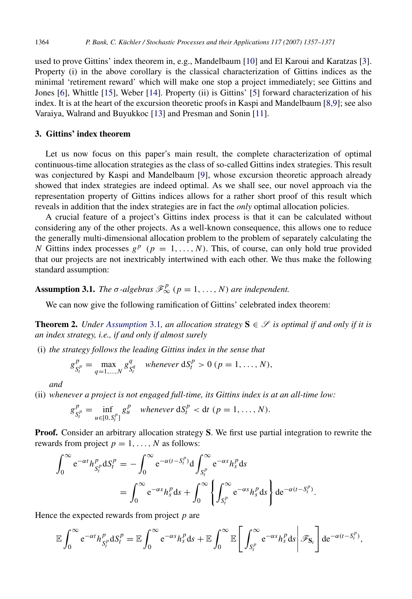used to prove Gittins' index theorem in, e.g., Mandelbaum [\[10\]](#page-14-3) and El Karoui and Karatzas [\[3\]](#page-14-5). Property (i) in the above corollary is the classical characterization of Gittins indices as the minimal 'retirement reward' which will make one stop a project immediately; see Gittins and Jones [\[6\]](#page-14-0), Whittle [\[15\]](#page-14-1), Weber [\[14\]](#page-14-4). Property (ii) is Gittins' [\[5\]](#page-14-11) forward characterization of his index. It is at the heart of the excursion theoretic proofs in Kaspi and Mandelbaum [\[8,](#page-14-7)[9\]](#page-14-8); see also Varaiya, Walrand and Buyukkoc [\[13\]](#page-14-2) and Presman and Sonin [\[11\]](#page-14-12).

## 3. Gittins' index theorem

Let us now focus on this paper's main result, the complete characterization of optimal continuous-time allocation strategies as the class of so-called Gittins index strategies. This result was conjectured by Kaspi and Mandelbaum [\[9\]](#page-14-8), whose excursion theoretic approach already showed that index strategies are indeed optimal. As we shall see, our novel approach via the representation property of Gittins indices allows for a rather short proof of this result which reveals in addition that the index strategies are in fact the *only* optimal allocation policies.

A crucial feature of a project's Gittins index process is that it can be calculated without considering any of the other projects. As a well-known consequence, this allows one to reduce the generally multi-dimensional allocation problem to the problem of separately calculating the *N* Gittins index processes  $g^p$  ( $p = 1, ..., N$ ). This, of course, can only hold true provided that our projects are not inextricably intertwined with each other. We thus make the following standard assumption:

# **Assumption 3.1.** *The*  $\sigma$ -algebras  $\mathscr{F}_{\infty}^p$  ( $p = 1, ..., N$ ) are independent.

<span id="page-7-1"></span><span id="page-7-0"></span>We can now give the following ramification of Gittins' celebrated index theorem:

**Theorem 2.** *Under [Assumption](#page-7-1)* 3.1, an allocation strategy  $S \in \mathcal{S}$  is optimal if and only if it is *an index strategy, i.e., if and only if almost surely*

(i) *the strategy follows the leading Gittins index in the sense that*

$$
g_{S_t^p}^p = \max_{q=1,...,N} g_{S_t^q}^q \quad \text{whenever} \ dS_t^p > 0 \ (p=1,...,N),
$$

*and*

(ii) *whenever a project is not engaged full-time, its Gittins index is at an all-time low:*

$$
g_{S_t^p}^p = \inf_{u \in [0, S_t^p]} g_u^p \quad \text{whenever} \ \mathrm{d}S_t^p < \mathrm{d}t \ (p = 1, \dots, N).
$$

**Proof.** Consider an arbitrary allocation strategy S. We first use partial integration to rewrite the rewards from project  $p = 1, \ldots, N$  as follows:

$$
\int_0^\infty e^{-\alpha t} h_{S_t^p}^p dS_t^p = -\int_0^\infty e^{-\alpha (t - S_t^p)} d\int_{S_t^p}^\infty e^{-\alpha s} h_s^p ds
$$
  
= 
$$
\int_0^\infty e^{-\alpha s} h_s^p ds + \int_0^\infty \left\{ \int_{S_t^p}^\infty e^{-\alpha s} h_s^p ds \right\} de^{-\alpha (t - S_t^p)}.
$$

Hence the expected rewards from project *p* are

$$
\mathbb{E}\int_0^\infty e^{-\alpha t}h_{S_t^p}^p dS_t^p = \mathbb{E}\int_0^\infty e^{-\alpha s}h_s^p ds + \mathbb{E}\int_0^\infty \mathbb{E}\left[\left.\int_{S_t^p}^\infty e^{-\alpha s}h_s^p ds\right|\mathscr{F}_{S_t}\right]de^{-\alpha(t-S_t^p)},
$$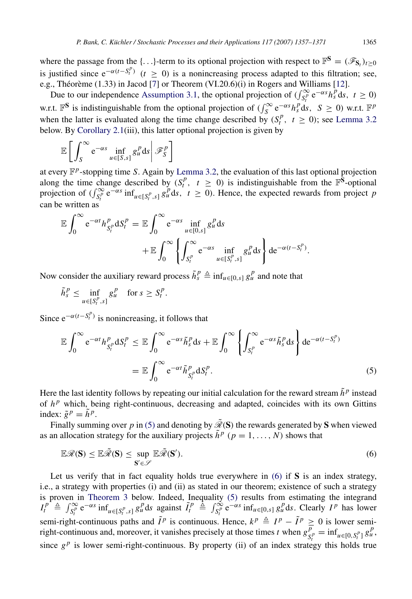where the passage from the {...}-term to its optional projection with respect to  $\mathbb{F}^S = (\mathscr{F}_{S_t})_{t \geq 0}$ is justified since  $e^{-\alpha(t-S_t^p)}$  (*t* ≥ 0) is a nonincreasing process adapted to this filtration; see, e.g., Théorème  $(1.33)$  in Jacod [[7\]](#page-14-13) or Theorem  $(VI.20.6)(i)$  in Rogers and Williams [\[12\]](#page-14-14).

Due to our independence [Assumption 3.1,](#page-7-1) the optional projection of  $\left(\int_{S_t^p}^{\infty} e^{-\alpha s} h_s^p ds, t \ge 0\right)$ w.r.t.  $\mathbb{F}^S$  is indistinguishable from the optional projection of  $(\int_S^{\infty} e^{-\alpha s} h_s^p ds, S \ge 0)$  w.r.t.  $\mathbb{F}^p$ when the latter is evaluated along the time change described by  $(S_t^p, t \ge 0)$ ; see [Lemma 3.2](#page-9-0) below. By [Corollary 2.1\(](#page-6-0)iii), this latter optional projection is given by

$$
\mathbb{E}\bigg[\int_{S}^{\infty} e^{-\alpha s}\inf_{u\in[S,s]}g_u^p ds\bigg|\mathscr{F}_{S}^p\bigg]
$$

at every F *p* -stopping time *S*. Again by [Lemma 3.2,](#page-9-0) the evaluation of this last optional projection along the time change described by  $(S_t^p, t \ge 0)$  is indistinguishable from the  $\mathbb{F}^{\mathbf{\hat{S}}}$ -optional projection of  $(\int_{S_t^p}^{\infty} e^{-\alpha s} \inf_{u \in [S_t^p, s]} g_u^p ds, t \ge 0)$ . Hence, the expected rewards from project *p* can be written as

$$
\mathbb{E}\int_0^\infty e^{-\alpha t}h_{S_t^p}^p dS_t^p = \mathbb{E}\int_0^\infty e^{-\alpha s}\inf_{u\in[0,s]}g_u^p ds \n+ \mathbb{E}\int_0^\infty \left\{\int_{S_t^p}^\infty e^{-\alpha s}\inf_{u\in[S_t^p,s]}g_u^p ds\right\} de^{-\alpha(t-S_t^p)}.
$$

Now consider the auxiliary reward process  $\tilde{h}_s^p \triangleq \inf_{u \in [0,s]} g_u^p$  and note that

$$
\tilde{h}_s^p \le \inf_{u \in [S_t^p, s]} g_u^p \quad \text{for } s \ge S_t^p.
$$

Since  $e^{-\alpha(t-S_t^p)}$  is nonincreasing, it follows that

<span id="page-8-0"></span>
$$
\mathbb{E} \int_0^{\infty} e^{-\alpha t} h_{S_t^p}^p dS_t^p \leq \mathbb{E} \int_0^{\infty} e^{-\alpha s} \tilde{h}_s^p ds + \mathbb{E} \int_0^{\infty} \left\{ \int_{S_t^p}^{\infty} e^{-\alpha s} \tilde{h}_s^p ds \right\} d e^{-\alpha (t - S_t^p)}
$$

$$
= \mathbb{E} \int_0^{\infty} e^{-\alpha t} \tilde{h}_{S_t^p}^p dS_t^p. \tag{5}
$$

Here the last identity follows by repeating our initial calculation for the reward stream  $\tilde{h}^p$  instead of  $h^p$  which, being right-continuous, decreasing and adapted, coincides with its own Gittins index:  $\tilde{g}^p = \tilde{h}^p$ .

Finally summing over *p* in [\(5\)](#page-8-0) and denoting by  $\tilde{\mathcal{R}}(S)$  the rewards generated by S when viewed as an allocation strategy for the auxiliary projects  $\tilde{h}^p$  ( $p = 1, ..., N$ ) shows that

<span id="page-8-1"></span>
$$
\mathbb{E}\mathscr{R}(\mathbf{S}) \le \mathbb{E}\tilde{\mathscr{R}}(\mathbf{S}) \le \sup_{\mathbf{S}' \in \mathscr{S}} \mathbb{E}\tilde{\mathscr{R}}(\mathbf{S}'). \tag{6}
$$

Let us verify that in fact equality holds true everywhere in  $(6)$  if S is an index strategy, i.e., a strategy with properties (i) and (ii) as stated in our theorem; existence of such a strategy is proven in [Theorem 3](#page-11-0) below. Indeed, Inequality [\(5\)](#page-8-0) results from estimating the integrand  $I_t^{p^r} \triangleq \int_{S_t^p}^{\infty} e^{-\alpha s} \inf_{u \in [S_t^p, s]} g_u^p ds$  against  $\tilde{I}_t^p \triangleq \int_{S_t^p}^{\infty} e^{-\alpha s} \inf_{u \in [0, s]} g_u^p ds$ . Clearly  $I^p$  has lower semi-right-continuous paths and  $\tilde{I}^p$  is continuous. Hence,  $k^p \triangleq I^p - \tilde{I}^p \geq 0$  is lower semiright-continuous and, moreover, it vanishes precisely at those times *t* when  $g\bar{g}$  $\frac{\overline{p}}{S_t^p} = \inf_{u \in [0, S_t^p]} g_u^p,$ since  $g^p$  is lower semi-right-continuous. By property (ii) of an index strategy this holds true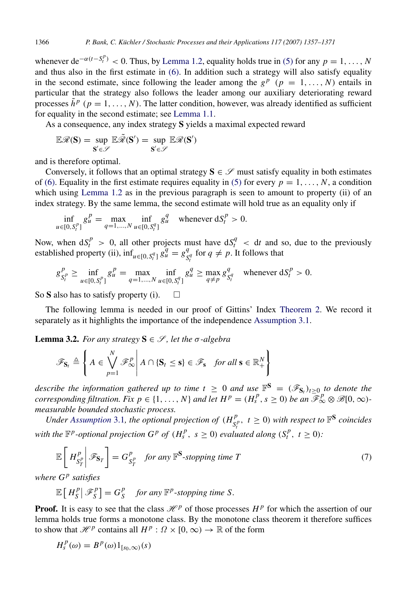whenever de<sup> $-\alpha(t-S_t^p)$ </sup> < 0. Thus, by [Lemma 1.2,](#page-3-1) equality holds true in [\(5\)](#page-8-0) for any  $p = 1, ..., N$ and thus also in the first estimate in [\(6\).](#page-8-1) In addition such a strategy will also satisfy equality in the second estimate, since following the leader among the  $g^p$  ( $p = 1, ..., N$ ) entails in particular that the strategy also follows the leader among our auxiliary deteriorating reward processes  $\tilde{h}^p$  ( $p = 1, ..., N$ ). The latter condition, however, was already identified as sufficient for equality in the second estimate; see [Lemma 1.1.](#page-2-0)

As a consequence, any index strategy S yields a maximal expected reward

$$
\mathbb{E} \mathscr{R}(S) = \sup_{S^{'} \in \mathscr{S}} \mathbb{E} \tilde{\mathscr{R}}(S^{'}) = \sup_{S^{'} \in \mathscr{S}} \mathbb{E} \mathscr{R}(S^{'})
$$

and is therefore optimal.

Conversely, it follows that an optimal strategy  $S \in \mathcal{S}$  must satisfy equality in both estimates of [\(6\).](#page-8-1) Equality in the first estimate requires equality in [\(5\)](#page-8-0) for every  $p = 1, \ldots, N$ , a condition which using [Lemma 1.2](#page-3-1) as in the previous paragraph is seen to amount to property (ii) of an index strategy. By the same lemma, the second estimate will hold true as an equality only if

$$
\inf_{u \in [0, S_t^p]} g_u^p = \max_{q=1, ..., N} \inf_{u \in [0, S_t^q]} g_u^q \quad \text{whenever } dS_t^p > 0.
$$

Now, when  $dS_t^p > 0$ , all other projects must have  $dS_t^q < dt$  and so, due to the previously established property (ii),  $\inf_{u \in [0, S_t^q]} g_u^q = g_g^q$  $S_t^q$  for  $q \neq p$ . It follows that

$$
g_{S_t^p}^p \ge \inf_{u \in [0, S_t^p]} g_u^p = \max_{q=1, ..., N} \inf_{u \in [0, S_t^q]} g_u^q \ge \max_{q \ne p} g_{S_t^q}^q \quad \text{whenever } dS_t^p > 0.
$$

So S also has to satisfy property (i).  $\square$ 

The following lemma is needed in our proof of Gittins' Index [Theorem 2.](#page-7-0) We record it separately as it highlights the importance of the independence [Assumption 3.1.](#page-7-1)

**Lemma 3.2.** *For any strategy*  $S \in \mathcal{S}$ *, let the*  $\sigma$ *-algebra* 

<span id="page-9-0"></span>
$$
\mathscr{F}_{\mathbf{S}_t} \triangleq \left\{ A \in \bigvee_{p=1}^N \mathscr{F}_{\infty}^p \middle| A \cap \{\mathbf{S}_t \leq \mathbf{s}\} \in \mathscr{F}_{\mathbf{s}} \text{ for all } \mathbf{s} \in \mathbb{R}_+^N \right\}
$$

*describe the information gathered up to time*  $t \geq 0$  *and use*  $\mathbb{F}^S = (\mathscr{F}_{S_t})_{t \geq 0}$  *to denote the corresponding filtration. Fix*  $p \in \{1, ..., N\}$  *and let*  $H^p = (H_s^p, s \ge 0)$  *be an*  $\mathcal{F}_\infty^p \otimes \mathcal{B}[0, \infty)$ *measurable bounded stochastic process.*

*Under [Assumption](#page-7-1)* 3.1, the optional projection of  $(H_{\text{ex}}^p)$  $S_t^p$ ,  $t \geq 0$ ) *with respect to*  $\mathbb{F}^S$  *coincides with the*  $\mathbb{F}^p$ -optional projection  $G^p$  of  $(H_s^p, s \ge 0)$  evaluated along  $(S_t^p, t \ge 0)$ :

<span id="page-9-1"></span>
$$
\mathbb{E}\left[H_{S_T^p}^p\bigg|\mathscr{F}_{S_T}\right] = G_{S_T^p}^p \quad \text{for any } \mathbb{F}^S \text{-stopping time } T \tag{7}
$$

*where G <sup>p</sup> satisfies*

$$
\mathbb{E}\left[H_S^p\big| \mathcal{F}_S^p\right] = G_S^p \quad \text{for any } \mathbb{F}^p\text{-stopping time } S.
$$

**Proof.** It is easy to see that the class  $\mathcal{H}^p$  of those processes  $H^p$  for which the assertion of our lemma holds true forms a monotone class. By the monotone class theorem it therefore suffices to show that  $\mathcal{H}^p$  contains all  $H^p$ :  $\Omega \times [0, \infty) \to \mathbb{R}$  of the form

$$
H_s^p(\omega) = B^p(\omega) 1_{[s_0,\infty)}(s)
$$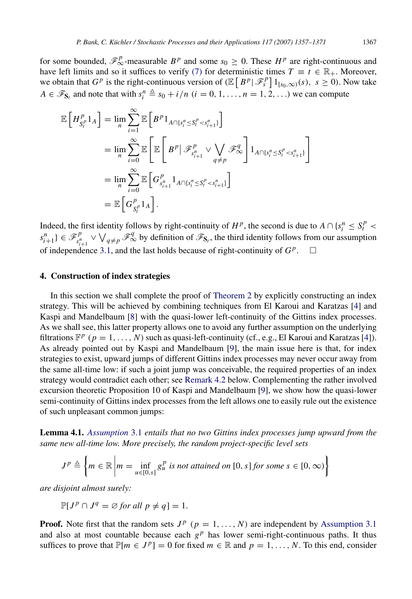for some bounded,  $\mathcal{F}_{\infty}^p$ -measurable  $B^p$  and some  $s_0 \geq 0$ . These  $H^p$  are right-continuous and have left limits and so it suffices to verify [\(7\)](#page-9-1) for deterministic times  $T \equiv t \in \mathbb{R}_+$ . Moreover, we obtain that  $G^p$  is the right-continuous version of  $(\mathbb{E}[B^p | \mathcal{F}_s^p] 1_{[s_0,\infty)}(s), s \geq 0)$ . Now take  $A \in \mathcal{F}_{S_t}$  and note that with  $s_i^n \triangleq s_0 + i/n$  ( $i = 0, 1, ..., n = 1, 2, ...$ ) we can compute

$$
\mathbb{E}\left[H_{S_i^p}^p 1_A\right] = \lim_{n} \sum_{i=1}^{\infty} \mathbb{E}\left[B^p 1_{A \cap \{s_i^n \le S_i^p < s_{i+1}^n\}}\right]
$$
\n
$$
= \lim_{n} \sum_{i=0}^{\infty} \mathbb{E}\left[\mathbb{E}\left[B^p \big| \mathcal{F}_{s_{i+1}^p}^p \vee \bigvee_{q \neq p} \mathcal{F}_{\infty}^q\right] 1_{A \cap \{s_i^n \le S_i^p < s_{i+1}^n\}}\right]
$$
\n
$$
= \lim_{n} \sum_{i=0}^{\infty} \mathbb{E}\left[G_{S_i^p}^p 1_A \right] 1_{A \cap \{s_i^n \le S_i^p < s_{i+1}^n\}}\right]
$$
\n
$$
= \mathbb{E}\left[G_{S_i^p}^p 1_A\right].
$$

Indeed, the first identity follows by right-continuity of  $H^p$ , the second is due to  $A \cap \{s_i^n \leq S_i^p$  $s_{i+1}^n$  }  $\in \mathscr{F}_{s_i^n}^p$  $\mathcal{F}_{s+1}^p \vee \bigvee_{q \neq p} \mathcal{F}_{\infty}^q$  by definition of  $\mathcal{F}_{s}$ , the third identity follows from our assumption of independence [3.1,](#page-7-1) and the last holds because of right-continuity of  $G^p$ .  $\Box$ 

# <span id="page-10-0"></span>4. Construction of index strategies

In this section we shall complete the proof of [Theorem 2](#page-7-0) by explicitly constructing an index strategy. This will be achieved by combining techniques from El Karoui and Karatzas [\[4\]](#page-14-6) and Kaspi and Mandelbaum [\[8\]](#page-14-7) with the quasi-lower left-continuity of the Gittins index processes. As we shall see, this latter property allows one to avoid any further assumption on the underlying filtrations  $\mathbb{F}^p$  ( $p = 1, ..., N$ ) such as quasi-left-continuity (cf., e.g., El Karoui and Karatzas [\[4\]](#page-14-6)). As already pointed out by Kaspi and Mandelbaum [\[9\]](#page-14-8), the main issue here is that, for index strategies to exist, upward jumps of different Gittins index processes may never occur away from the same all-time low: if such a joint jump was conceivable, the required properties of an index strategy would contradict each other; see [Remark 4.2](#page-12-1) below. Complementing the rather involved excursion theoretic Proposition 10 of Kaspi and Mandelbaum [\[9\]](#page-14-8), we show how the quasi-lower semi-continuity of Gittins index processes from the left allows one to easily rule out the existence of such unpleasant common jumps:

Lemma 4.1. *[Assumption](#page-7-1)* 3.1 *entails that no two Gittins index processes jump upward from the same new all-time low. More precisely, the random project-specific level sets*

<span id="page-10-1"></span>
$$
J^{p} \triangleq \left\{ m \in \mathbb{R} \, \middle| \, m = \inf_{u \in [0,s]} g_{u}^{p} \text{ is not attained on } [0,s] \text{ for some } s \in [0,\infty) \right\}
$$

*are disjoint almost surely:*

$$
\mathbb{P}[J^p \cap J^q = \emptyset \text{ for all } p \neq q] = 1.
$$

**Proof.** Note first that the random sets  $J^p$  ( $p = 1, ..., N$ ) are independent by [Assumption 3.1](#page-7-1) and also at most countable because each  $g<sup>p</sup>$  has lower semi-right-continuous paths. It thus suffices to prove that  $\mathbb{P}[m \in J^p] = 0$  for fixed  $m \in \mathbb{R}$  and  $p = 1, ..., N$ . To this end, consider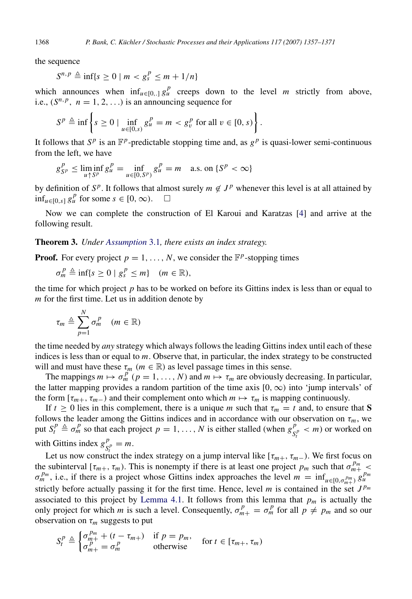the sequence

$$
S^{n,p} \triangleq \inf\{s \ge 0 \mid m < g_s^p \le m + 1/n\}
$$

which announces when  $\inf_{u \in [0,1]} g_u^p$  creeps down to the level *m* strictly from above, i.e.,  $(S^{n,p}, n = 1, 2, ...)$  is an announcing sequence for

$$
S^{p} \triangleq \inf \left\{ s \ge 0 \mid \inf_{u \in [0,s)} g_{u}^{p} = m < g_{v}^{p} \text{ for all } v \in [0,s) \right\}.
$$

It follows that  $S^p$  is an  $\mathbb{F}^p$ -predictable stopping time and, as  $g^p$  is quasi-lower semi-continuous from the left, we have

$$
g_{S^p}^P \le \liminf_{u \uparrow S^p} g_u^P = \inf_{u \in [0, S^p)} g_u^P = m \quad \text{a.s. on } \{S^p < \infty\}
$$

by definition of  $S^p$ . It follows that almost surely  $m \notin J^p$  whenever this level is at all attained by  $\inf_{u \in [0,s]} g_u^p$  for some *s* ∈ [0, ∞). □

Now we can complete the construction of El Karoui and Karatzas [\[4\]](#page-14-6) and arrive at the following result.

Theorem 3. *Under [Assumption](#page-7-1)* 3.1*, there exists an index strategy.*

**Proof.** For every project  $p = 1, ..., N$ , we consider the  $\mathbb{F}^p$ -stopping times

<span id="page-11-0"></span> $\sigma_m^P \triangleq \inf\{s \geq 0 \mid g_s^P \leq m\}$  (*m*  $\in \mathbb{R}$ ),

the time for which project *p* has to be worked on before its Gittins index is less than or equal to *m* for the first time. Let us in addition denote by

$$
\tau_m \triangleq \sum_{p=1}^N \sigma_m^p \quad (m \in \mathbb{R})
$$

the time needed by *any* strategy which always follows the leading Gittins index until each of these indices is less than or equal to *m*. Observe that, in particular, the index strategy to be constructed will and must have these  $\tau_m$  ( $m \in \mathbb{R}$ ) as level passage times in this sense.

The mappings  $m \mapsto \sigma_m^p$  ( $p = 1, ..., N$ ) and  $m \mapsto \tau_m$  are obviously decreasing. In particular, the latter mapping provides a random partition of the time axis  $[0, \infty)$  into 'jump intervals' of the form  $[\tau_{m+}, \tau_{m-})$  and their complement onto which  $m \mapsto \tau_m$  is mapping continuously.

If  $t \ge 0$  lies in this complement, there is a unique *m* such that  $\tau_m = t$  and, to ensure that S follows the leader among the Gittins indices and in accordance with our observation on  $\tau_m$ , we put  $S_t^p \triangleq \sigma_m^p$  so that each project  $p = 1, ..., N$  is either stalled (when  $g_S^p$  $S_t^p$  < *m*) or worked on with Gittins index  $g^p$  $S_t^p = m.$ 

Let us now construct the index strategy on a jump interval like  $[\tau_{m+}, \tau_{m-})$ . We first focus on the subinterval  $[\tau_{m+}, \tau_m)$ . This is nonempty if there is at least one project  $p_m$  such that  $\sigma_{m+}^{p_m}$  <  $\sigma_m^{p_m}$ , i.e., if there is a project whose Gittins index approaches the level  $m = \inf_{u \in [0, \sigma_{m+1}^{p_m}]} g_u^{p_m}$ strictly before actually passing it for the first time. Hence, level *m* is contained in the set  $J^{p_m}$ associated to this project by [Lemma 4.1.](#page-10-1) It follows from this lemma that  $p_m$  is actually the only project for which *m* is such a level. Consequently,  $\sigma_{m+}^p = \sigma_m^p$  for all  $p \neq p_m$  and so our observation on  $\tau_m$  suggests to put

$$
S_t^p \triangleq \begin{cases} \sigma_{m+}^{p_m} + (t - \tau_{m+}) & \text{if } p = p_m, \\ \sigma_{m+}^p = \sigma_m^p & \text{otherwise} \end{cases} \quad \text{for } t \in [\tau_{m+}, \tau_m)
$$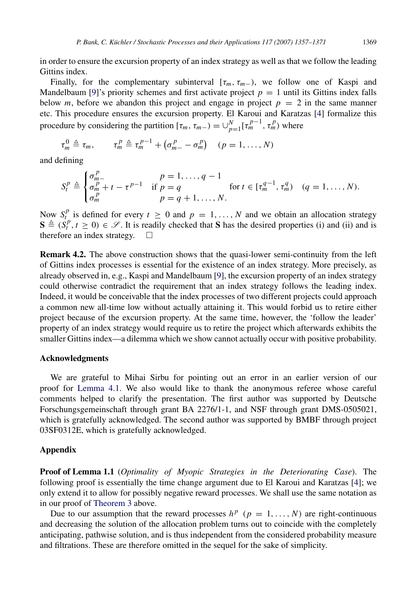in order to ensure the excursion property of an index strategy as well as that we follow the leading Gittins index.

Finally, for the complementary subinterval  $[\tau_m, \tau_{m-})$ , we follow one of Kaspi and Mandelbaum [\[9\]](#page-14-8)'s priority schemes and first activate project  $p = 1$  until its Gittins index falls below *m*, before we abandon this project and engage in project  $p = 2$  in the same manner etc. This procedure ensures the excursion property. El Karoui and Karatzas [\[4\]](#page-14-6) formalize this procedure by considering the partition  $[\tau_m, \tau_{m-}) = \bigcup_{p=1}^N [\tau_m^{p-1}, \tau_m^p]$  where

$$
\tau_m^0 \triangleq \tau_m, \qquad \tau_m^p \triangleq \tau_m^{p-1} + (\sigma_{m-}^p - \sigma_m^p) \quad (p = 1, \ldots, N)
$$

and defining

$$
S_t^p \triangleq \begin{cases} \sigma_{m-}^p & p = 1, ..., q-1 \\ \sigma_m^p + t - \tau^{p-1} & \text{if } p = q \\ \sigma_m^p & p = q+1, ..., N. \end{cases} \text{ for } t \in [\tau_m^{q-1}, \tau_m^q) \quad (q = 1, ..., N).
$$

Now  $S_t^p$  is defined for every  $t \ge 0$  and  $p = 1, ..., N$  and we obtain an allocation strategy  $S \triangleq (S_t^p, t \ge 0) \in \mathscr{S}$ . It is readily checked that S has the desired properties (i) and (ii) and is therefore an index strategy.

<span id="page-12-1"></span>Remark 4.2. The above construction shows that the quasi-lower semi-continuity from the left of Gittins index processes is essential for the existence of an index strategy. More precisely, as already observed in, e.g., Kaspi and Mandelbaum [\[9\]](#page-14-8), the excursion property of an index strategy could otherwise contradict the requirement that an index strategy follows the leading index. Indeed, it would be conceivable that the index processes of two different projects could approach a common new all-time low without actually attaining it. This would forbid us to retire either project because of the excursion property. At the same time, however, the 'follow the leader' property of an index strategy would require us to retire the project which afterwards exhibits the smaller Gittins index—a dilemma which we show cannot actually occur with positive probability.

# Acknowledgments

We are grateful to Mihai Sirbu for pointing out an error in an earlier version of our proof for [Lemma 4.1.](#page-10-1) We also would like to thank the anonymous referee whose careful comments helped to clarify the presentation. The first author was supported by Deutsche Forschungsgemeinschaft through grant BA 2276/1-1, and NSF through grant DMS-0505021, which is gratefully acknowledged. The second author was supported by BMBF through project 03SF0312E, which is gratefully acknowledged.

#### <span id="page-12-0"></span>Appendix

Proof of Lemma 1.1 (*Optimality of Myopic Strategies in the Deteriorating Case*). The following proof is essentially the time change argument due to El Karoui and Karatzas [\[4\]](#page-14-6); we only extend it to allow for possibly negative reward processes. We shall use the same notation as in our proof of [Theorem 3](#page-11-0) above.

Due to our assumption that the reward processes  $h^p$  ( $p = 1, ..., N$ ) are right-continuous and decreasing the solution of the allocation problem turns out to coincide with the completely anticipating, pathwise solution, and is thus independent from the considered probability measure and filtrations. These are therefore omitted in the sequel for the sake of simplicity.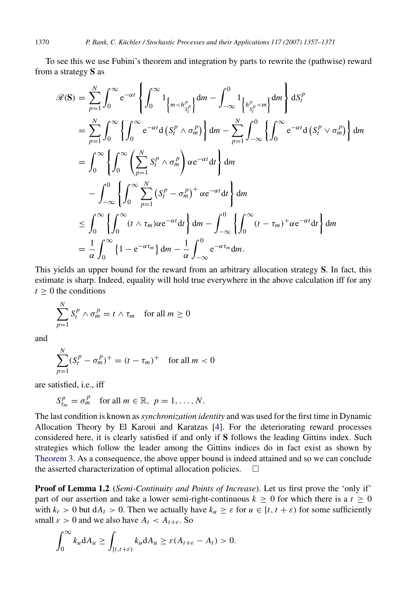To see this we use Fubini's theorem and integration by parts to rewrite the (pathwise) reward from a strategy S as

$$
\mathscr{R}(\mathbf{S}) = \sum_{p=1}^{N} \int_{0}^{\infty} e^{-\alpha t} \left\{ \int_{0}^{\infty} 1_{\left\{m < h_{S_{f}^{p}}\right\}} dm - \int_{-\infty}^{0} 1_{\left\{h_{S_{f}^{p}}^{p} < m\right\}} dm \right\} dS_{t}^{p}
$$
\n
$$
= \sum_{p=1}^{N} \int_{0}^{\infty} \left\{ \int_{0}^{\infty} e^{-\alpha t} d\left(S_{t}^{p} \wedge \sigma_{m}^{p}\right) \right\} dm - \sum_{p=1}^{N} \int_{-\infty}^{0} \left\{ \int_{0}^{\infty} e^{-\alpha t} d\left(S_{t}^{p} \vee \sigma_{m}^{p}\right) \right\} dm
$$
\n
$$
= \int_{0}^{\infty} \left\{ \int_{0}^{\infty} \left( \sum_{p=1}^{N} S_{t}^{p} \wedge \sigma_{m}^{p} \right) \alpha e^{-\alpha t} dt \right\} dm
$$
\n
$$
- \int_{-\infty}^{0} \left\{ \int_{0}^{\infty} \sum_{p=1}^{N} \left(S_{t}^{p} - \sigma_{m}^{p}\right)^{+} \alpha e^{-\alpha t} dt \right\} dm
$$
\n
$$
\leq \int_{0}^{\infty} \left\{ \int_{0}^{\infty} (t \wedge \tau_{m}) \alpha e^{-\alpha t} dt \right\} dm - \int_{-\infty}^{0} \left\{ \int_{0}^{\infty} (t - \tau_{m})^{+} \alpha e^{-\alpha t} dt \right\} dm
$$
\n
$$
= \frac{1}{\alpha} \int_{0}^{\infty} \left\{ 1 - e^{-\alpha \tau_{m}} \right\} dm - \frac{1}{\alpha} \int_{-\infty}^{0} e^{-\alpha \tau_{m}} dm.
$$

This yields an upper bound for the reward from an arbitrary allocation strategy S. In fact, this estimate is sharp. Indeed, equality will hold true everywhere in the above calculation iff for any  $t > 0$  the conditions

$$
\sum_{p=1}^{N} S_t^p \wedge \sigma_m^p = t \wedge \tau_m \quad \text{for all } m \ge 0
$$

and

$$
\sum_{p=1}^{N} (S_t^p - \sigma_m^p)^+ = (t - \tau_m)^+ \text{ for all } m < 0
$$

are satisfied, i.e., iff

$$
S_{\tau_m}^p = \sigma_m^p \quad \text{for all } m \in \mathbb{R}, \ p = 1, \ldots, N.
$$

The last condition is known as *synchronization identity* and was used for the first time in Dynamic Allocation Theory by El Karoui and Karatzas [\[4\]](#page-14-6). For the deteriorating reward processes considered here, it is clearly satisfied if and only if S follows the leading Gittins index. Such strategies which follow the leader among the Gittins indices do in fact exist as shown by [Theorem 3.](#page-11-0) As a consequence, the above upper bound is indeed attained and so we can conclude the asserted characterization of optimal allocation policies.  $\Box$ 

**Proof of Lemma 1.2** (*Semi-Continuity and Points of Increase*). Let us first prove the 'only if' part of our assertion and take a lower semi-right-continuous  $k \ge 0$  for which there is a  $t \ge 0$ with  $k_t > 0$  but  $dA_t > 0$ . Then we actually have  $k_u \geq \varepsilon$  for  $u \in [t, t + \varepsilon)$  for some sufficiently small  $\varepsilon > 0$  and we also have  $A_t < A_{t+\varepsilon}$ . So

$$
\int_0^\infty k_u \mathrm{d}A_u \ge \int_{[t,t+\varepsilon)} k_u \mathrm{d}A_u \ge \varepsilon (A_{t+\varepsilon} - A_t) > 0.
$$